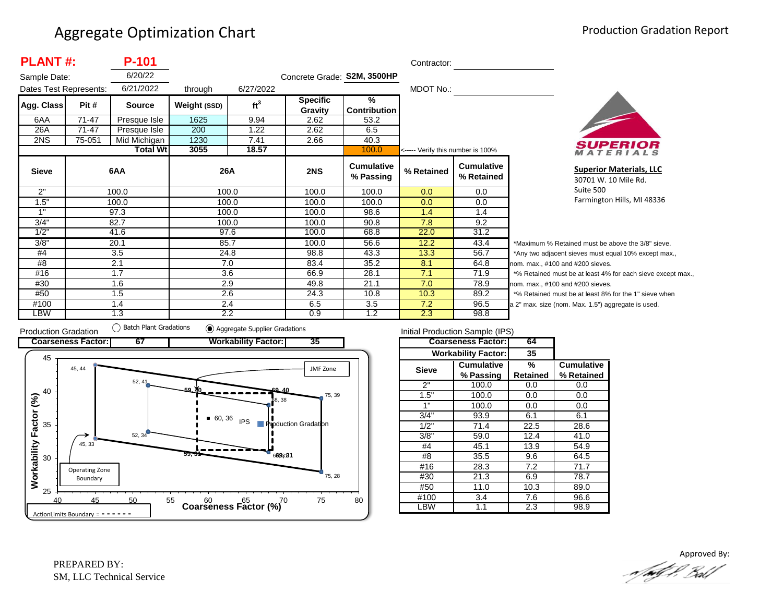| <b>PLANT#:</b>         |        | P-101<br>Contractor: |              |                 |                             |                                |                                   |                                 |                          |
|------------------------|--------|----------------------|--------------|-----------------|-----------------------------|--------------------------------|-----------------------------------|---------------------------------|--------------------------|
| Sample Date:           |        | 6/20/22              |              |                 | Concrete Grade: S2M, 3500HP |                                |                                   |                                 |                          |
| Dates Test Represents: |        | 6/21/2022            | through      | 6/27/2022       |                             |                                | MDOT No.:                         |                                 |                          |
| Agg. Class             | Pit #  | <b>Source</b>        | Weight (SSD) | ft <sup>3</sup> | <b>Specific</b>             | %                              |                                   |                                 |                          |
|                        |        |                      |              |                 | Gravity                     | <b>Contribution</b>            |                                   |                                 |                          |
| 6AA                    | 71-47  | Presque Isle         | 1625         | 9.94            | 2.62                        | 53.2                           |                                   |                                 |                          |
| 26A                    | 71-47  | Presque Isle         | 200          | 1.22            | 2.62                        | 6.5                            |                                   |                                 |                          |
| 2NS                    | 75-051 | Mid Michigan         | 1230         | 7.41            | 2.66                        | 40.3                           |                                   |                                 |                          |
|                        |        | <b>Total Wt</b>      | 3055         | 18.57           |                             | 100.0                          | <----- Verify this number is 100% |                                 |                          |
| <b>Sieve</b>           |        | 6AA                  | 26A          |                 | 2NS                         | <b>Cumulative</b><br>% Passing | % Retained                        | <b>Cumulative</b><br>% Retained |                          |
| 2"                     | 100.0  |                      |              | 100.0           | 100.0                       | 100.0                          | 0.0                               | 0.0                             |                          |
| 1.5"                   |        | 100.0                |              | 100.0           | 100.0                       | 100.0                          | 0.0                               | 0.0                             |                          |
| 1"                     |        | 97.3                 |              | 100.0           | 100.0                       | 98.6                           | 1.4                               | 1.4                             |                          |
| 3/4"                   |        | 82.7                 |              | 100.0           | 100.0                       | 90.8                           | 7.8                               | $\overline{9.2}$                |                          |
| 1/2"                   |        | 41.6                 |              | 97.6            | 100.0                       | 68.8                           | 22.0                              | 31.2                            |                          |
| 3/8"                   |        | 20.1                 |              | 85.7            | 100.0                       | 56.6                           | 12.2                              | 43.4                            | $\overline{\phantom{a}}$ |
| #4                     |        | 3.5                  |              | 24.8            | 98.8                        | 43.3                           | 13.3                              | 56.7                            | $\overline{z}$           |
| #8                     |        | 2.1                  |              | 7.0             | 83.4                        | 35.2                           | 8.1                               | 64.8                            | no                       |
| #16                    |        | 1.7                  |              | 3.6             | 66.9                        | 28.1                           | 7.1                               | 71.9                            | $\star$                  |
| #30                    |        | 1.6                  |              | 2.9             | 49.8                        | 21.1                           | 7.0                               | 78.9                            | no                       |
| #50                    |        | 1.5                  |              | 2.6             | 24.3                        | 10.8                           | 10.3                              | 89.2                            | $\star$                  |
| #100                   |        | 1.4                  |              | 2.4             | 6.5                         | 3.5                            | 7.2                               | 96.5                            | a 2                      |
| <b>LBW</b>             |        | 1.3                  |              | 2.2             | 0.9                         | 1.2                            | 2.3                               | 98.8                            |                          |



**Superior Materials, LLC** 30701 W. 10 Mile Rd. Suite 500 Farmington Hills, MI 48336

Maximum % Retained must be above the 3/8" sieve. Any two adjacent sieves must equal 10% except max.,  $em.$  max.,  $#100$  and  $#200$  sieves. % Retained must be at least 4% for each sieve except max.,  $km.$  max.,  $#100$  and  $#200$  sieves. % Retained must be at least 8% for the 1" sieve when 2" max. size (nom. Max. 1.5") aggregate is used.



| Initial Production Sample (IPS) |                            |          |                   |  |  |  |  |  |
|---------------------------------|----------------------------|----------|-------------------|--|--|--|--|--|
|                                 | <b>Coarseness Factor:</b>  | 64       |                   |  |  |  |  |  |
|                                 | <b>Workability Factor:</b> | 35       |                   |  |  |  |  |  |
| <b>Sieve</b>                    | <b>Cumulative</b>          | %        | <b>Cumulative</b> |  |  |  |  |  |
|                                 | % Passing                  | Retained | % Retained        |  |  |  |  |  |
| 2"                              | 100.0                      | 0.0      | 0.0               |  |  |  |  |  |
| 1.5"                            | 100.0                      | 0.0      | 0.0               |  |  |  |  |  |
| 1"                              | 100.0                      | 0.0      | 0.0               |  |  |  |  |  |
| 3/4"                            | 93.9                       | 6.1      | 6.1               |  |  |  |  |  |
| 1/2"                            | 71.4                       | 22.5     | 28.6              |  |  |  |  |  |
| 3/8"                            | 59.0                       | 12.4     | 41.0              |  |  |  |  |  |
| #4                              | 45.1                       | 13.9     | 54.9              |  |  |  |  |  |
| #8                              | 35.5                       | 9.6      | 64.5              |  |  |  |  |  |
| #16                             | 28.3                       | 7.2      | 71.7              |  |  |  |  |  |
| #30                             | 21.3                       | 6.9      | 78.7              |  |  |  |  |  |
| #50                             | 11.0                       | 10.3     | 89.0              |  |  |  |  |  |
| #100                            | 3.4                        | 7.6      | 96.6              |  |  |  |  |  |
| _BW                             | 1.1                        | 2.3      | 98.9              |  |  |  |  |  |

Approved By:a fødf f. Bolf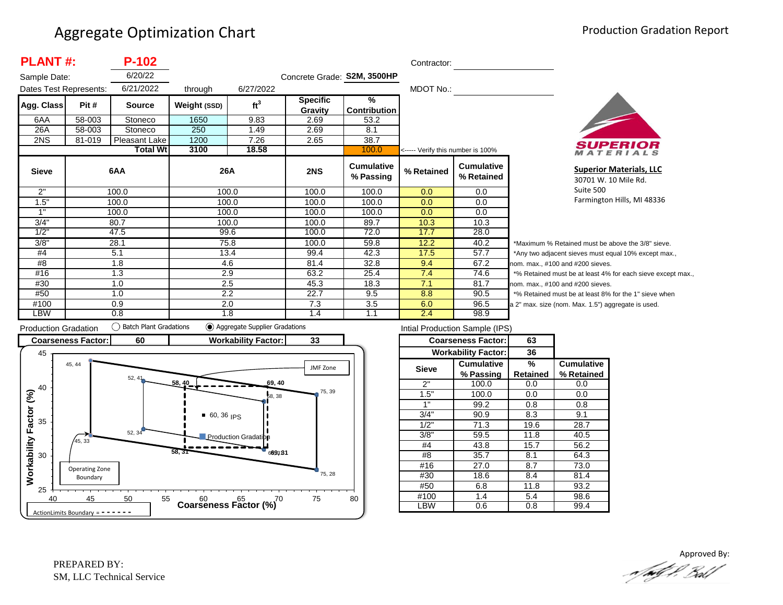| <b>PLANT#:</b>         |        | P-102           |              |                 |                             |                                | Contractor:                       |                                 |                |
|------------------------|--------|-----------------|--------------|-----------------|-----------------------------|--------------------------------|-----------------------------------|---------------------------------|----------------|
| Sample Date:           |        | 6/20/22         |              |                 | Concrete Grade: S2M, 3500HP |                                |                                   |                                 |                |
| Dates Test Represents: |        | 6/21/2022       | through      | 6/27/2022       |                             |                                | MDOT No.:                         |                                 |                |
| Agg. Class             | Pit #  | <b>Source</b>   | Weight (SSD) | ft <sup>3</sup> | <b>Specific</b>             | %                              |                                   |                                 |                |
|                        |        |                 |              |                 | Gravity                     | Contribution                   |                                   |                                 |                |
| 6AA                    | 58-003 | Stoneco         | 1650         | 9.83            | 2.69                        | 53.2                           |                                   |                                 |                |
| 26A                    | 58-003 | Stoneco         | 250          | 1.49            | 2.69                        | 8.1                            |                                   |                                 |                |
| 2NS                    | 81-019 | Pleasant Lake   | 1200         | 7.26            | 2.65                        | 38.7                           |                                   |                                 |                |
|                        |        | <b>Total Wt</b> | 3100         | 18.58           |                             | 100.0                          | <----- Verify this number is 100% |                                 |                |
| <b>Sieve</b>           |        | 6AA             | 26A          |                 | 2NS                         | <b>Cumulative</b><br>% Passing | % Retained                        | <b>Cumulative</b><br>% Retained |                |
| 2"                     |        | 100.0           |              | 100.0           | 100.0                       | 100.0                          | 0.0                               | 0.0                             |                |
| 1.5"                   |        | 100.0           |              | 100.0           | 100.0                       | 100.0                          | 0.0                               | 0.0                             |                |
| 1"                     |        | 100.0           |              | 100.0           | 100.0                       | 100.0                          | 0.0                               | 0.0                             |                |
| 3/4"                   |        | 80.7            |              | 100.0           | 100.0                       | 89.7                           | 10.3                              | 10.3                            |                |
| 1/2"                   |        | 47.5            |              | 99.6            | 100.0                       | 72.0                           | 17.7                              | 28.0                            |                |
| 3/8"                   |        | 28.1            |              | 75.8            | 100.0                       | 59.8                           | 12.2                              | 40.2                            | *Μ             |
| #4                     |        | 5.1             |              | 13.4            | 99.4                        | 42.3                           | 17.5                              | 57.7                            | *Α             |
| #8                     | 1.8    |                 |              | 4.6             | 81.4                        | 32.8                           | 9.4                               | 67.2                            | nor            |
| #16                    |        | 1.3             |              | 2.9             | 63.2                        | 25.4                           | 7.4                               | 74.6                            | $*_{0}$        |
| #30                    |        | 1.0             |              | 2.5             | 45.3                        | 18.3                           | 7.1                               | 81.7                            | nor            |
| #50                    |        | 1.0             |              | 2.2             | 22.7                        | 9.5                            | 8.8                               | 90.5                            | $*_{\circ}$    |
| #100                   |        | 0.9             |              | 2.0             | 7.3                         | 3.5                            | 6.0                               | 96.5                            | a <sub>2</sub> |
| LBW                    |        | 0.8             |              | 1.8             | 1.4                         | 1.1                            | 2.4                               | 98.9                            |                |



**Superior Materials, LLC** 30701 W. 10 Mile Rd. Suite 500 Farmington Hills, MI 48336

Maximum % Retained must be above the 3/8" sieve. Any two adjacent sieves must equal 10% except max., m. max., #100 and #200 sieves. % Retained must be at least 4% for each sieve except max., m. max., #100 and #200 sieves. % Retained must be at least 8% for the 1" sieve when " max. size (nom. Max. 1.5") aggregate is used.



| Intial Production Sample (IPS) |                            |          |                   |  |  |  |  |  |
|--------------------------------|----------------------------|----------|-------------------|--|--|--|--|--|
|                                | <b>Coarseness Factor:</b>  | 63       |                   |  |  |  |  |  |
|                                | <b>Workability Factor:</b> | 36       |                   |  |  |  |  |  |
| <b>Sieve</b>                   | Cumulative                 | %        | <b>Cumulative</b> |  |  |  |  |  |
|                                | % Passing                  | Retained | % Retained        |  |  |  |  |  |
| 2"                             | 100.0                      | 0.0      | 0.0               |  |  |  |  |  |
| 1.5"                           | 100.0                      | 0.0      | 0.0               |  |  |  |  |  |
| 1"                             | 99.2                       | 0.8      | 0.8               |  |  |  |  |  |
| 3/4"                           | 90.9                       | 8.3      | 9.1               |  |  |  |  |  |
| 1/2"                           | 71.3                       | 19.6     | 28.7              |  |  |  |  |  |
| 3/8"                           | 59.5                       | 11.8     | 40.5              |  |  |  |  |  |
| #4                             | 43.8                       | 15.7     | 56.2              |  |  |  |  |  |
| #8                             | 35.7                       | 8.1      | 64.3              |  |  |  |  |  |
| #16                            | 27.0                       | 8.7      | 73.0              |  |  |  |  |  |
| #30                            | 18.6                       | 8.4      | 81.4              |  |  |  |  |  |
| #50                            | 6.8                        | 11.8     | 93.2              |  |  |  |  |  |
| #100                           | 1.4                        | 5.4      | 98.6              |  |  |  |  |  |
| <b>LBW</b>                     | 0.6                        | 0.8      | 99.4              |  |  |  |  |  |
|                                |                            |          |                   |  |  |  |  |  |

Approved By:<br>Approved By: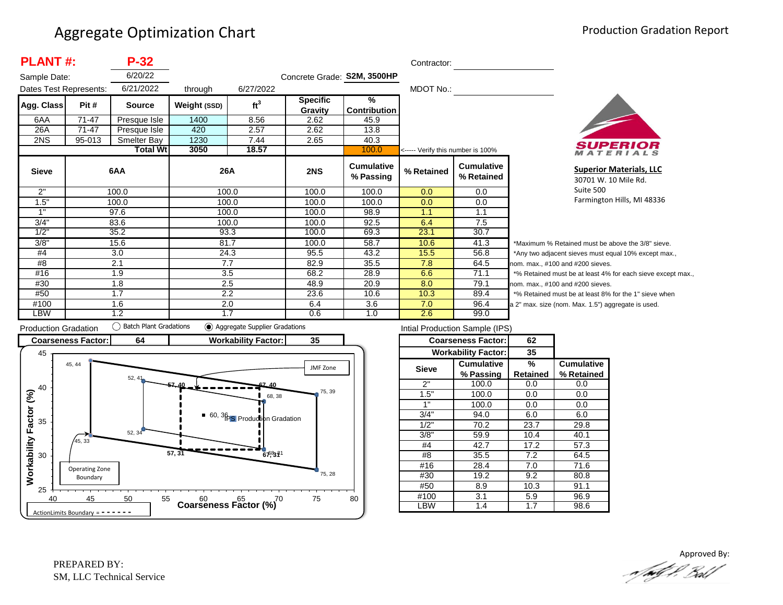| <b>PLANT#:</b>         |           | $P-32$          |              |                 |                             |                                | Contractor:                       |                                 |                  |
|------------------------|-----------|-----------------|--------------|-----------------|-----------------------------|--------------------------------|-----------------------------------|---------------------------------|------------------|
| Sample Date:           |           | 6/20/22         |              |                 | Concrete Grade: S2M, 3500HP |                                |                                   |                                 |                  |
| Dates Test Represents: |           | 6/21/2022       | through      | 6/27/2022       |                             |                                | MDOT No.:                         |                                 |                  |
| Agg. Class             | Pit #     | <b>Source</b>   | Weight (SSD) | ft <sup>3</sup> | <b>Specific</b><br>Gravity  | $\frac{9}{6}$<br>Contribution  |                                   |                                 |                  |
| 6AA                    | $71 - 47$ | Presque Isle    | 1400         | 8.56            | 2.62                        | 45.9                           |                                   |                                 |                  |
| 26A                    | 71-47     | Presque Isle    | 420          | 2.57            | 2.62                        | 13.8                           |                                   |                                 |                  |
| 2NS                    | 95-013    | Smelter Bay     | 1230         | 7.44            | 2.65                        | 40.3                           |                                   |                                 |                  |
|                        |           | <b>Total Wt</b> | 3050         | 18.57           |                             | 100.0                          | <----- Verify this number is 100% |                                 |                  |
| <b>Sieve</b>           |           | 6AA             | 26A          |                 | 2NS                         | <b>Cumulative</b><br>% Passing | % Retained                        | <b>Cumulative</b><br>% Retained |                  |
| 2"                     |           | 100.0           |              | 100.0           | 100.0                       | 100.0                          | 0.0                               | 0.0                             |                  |
| 1.5"                   |           | 100.0           |              | 100.0           | 100.0                       | 100.0                          | 0.0                               | 0.0                             |                  |
| 1"                     |           | 97.6            |              | 100.0           | 100.0                       | 98.9                           | 1.1                               | 1.1                             |                  |
| 3/4"                   |           | 83.6            |              | 100.0           | 100.0                       | 92.5                           | 6.4                               | 7.5                             |                  |
| 1/2"                   |           | 35.2            |              | 93.3            | 100.0                       | 69.3                           | 23.1                              | 30.7                            |                  |
| 3/8"                   |           | 15.6            |              | 81.7            | 100.0                       | 58.7                           | 10.6                              | 41.3                            | *Μ               |
| #4                     |           | 3.0             | 24.3         |                 | 95.5                        | 43.2                           | 15.5                              | 56.8                            | *Α               |
| #8                     |           | 2.1             |              | 7.7             | 82.9                        | 35.5                           | 7.8                               | 64.5                            | nor              |
| #16                    |           | 1.9             |              | 3.5             | 68.2                        | 28.9                           | 6.6                               | 71.1                            | $*$ <sup>9</sup> |
| #30                    |           | 1.8             |              | 2.5             | 48.9                        | 20.9                           | 8.0                               | 79.1                            | nor              |
| #50                    |           | 1.7             |              | 2.2             | 23.6                        | 10.6                           | 10.3                              | 89.4                            | $*$ <sup>9</sup> |
| #100                   |           | 1.6             |              | 2.0             | 6.4                         | 3.6                            | 7.0                               | 96.4                            | a <sub>2</sub>   |
| LBW                    |           | 1.2             |              | 1.7             | 0.6                         | 1.0                            | 2.6                               | 99.0                            |                  |



**Superior Materials, LLC** 30701 W. 10 Mile Rd. Suite 500 Farmington Hills, MI 48336

Maximum % Retained must be above the 3/8" sieve. Any two adjacent sieves must equal 10% except max., m. max., #100 and #200 sieves. % Retained must be at least 4% for each sieve except max., m. max., #100 and #200 sieves. % Retained must be at least 8% for the 1" sieve when " max. size (nom. Max. 1.5") aggregate is used.



| Intial Production Sample (IPS) |                            |          |                   |  |  |  |  |  |
|--------------------------------|----------------------------|----------|-------------------|--|--|--|--|--|
|                                | <b>Coarseness Factor:</b>  | 62       |                   |  |  |  |  |  |
|                                | <b>Workability Factor:</b> | 35       |                   |  |  |  |  |  |
| <b>Sieve</b>                   | <b>Cumulative</b>          | %        | <b>Cumulative</b> |  |  |  |  |  |
|                                | % Passing                  | Retained | % Retained        |  |  |  |  |  |
| 2"                             | 100.0                      | 0.0      | 0.0               |  |  |  |  |  |
| 1.5"                           | 100.0                      | 0.0      | 0.0               |  |  |  |  |  |
| 1"                             | 100.0                      | 0.0      | 0.0               |  |  |  |  |  |
| 3/4"                           | 94.0                       | 6.0      | 6.0               |  |  |  |  |  |
| 1/2"                           | 70.2                       | 23.7     | 29.8              |  |  |  |  |  |
| 3/8"                           | 59.9                       | 10.4     | 40.1              |  |  |  |  |  |
| #4                             | 42.7                       | 17.2     | 57.3              |  |  |  |  |  |
| #8                             | 35.5                       | 7.2      | 64.5              |  |  |  |  |  |
| #16                            | 28.4                       | 7.0      | 71.6              |  |  |  |  |  |
| #30                            | 19.2                       | 9.2      | 80.8              |  |  |  |  |  |
| #50                            | 8.9                        | 10.3     | 91.1              |  |  |  |  |  |
| #100                           | 3.1                        | 5.9      | 96.9              |  |  |  |  |  |
| .BW                            | 1.4                        | 1.7      | 98.6              |  |  |  |  |  |

Approved By:<br>Approved By: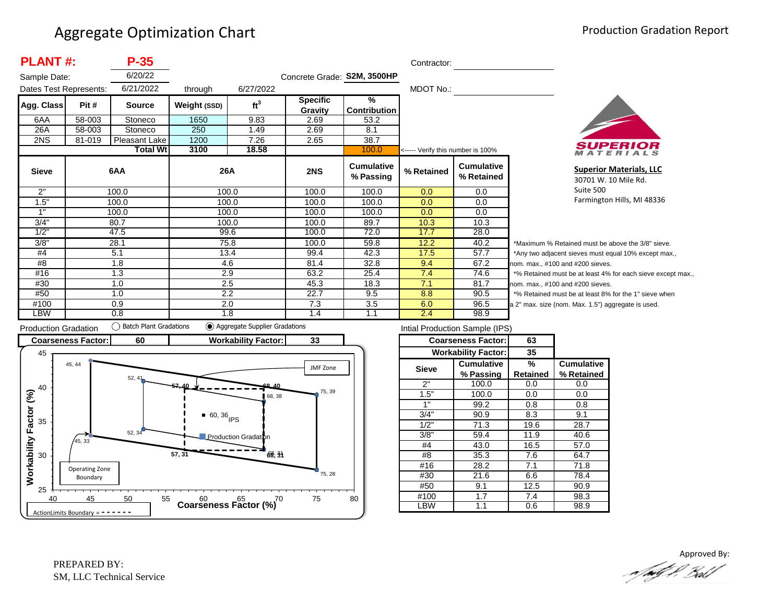| <b>PLANT#:</b><br>$P-35$ |        |                  |              |                 |                             | Contractor:                          |                                   |                                 |        |
|--------------------------|--------|------------------|--------------|-----------------|-----------------------------|--------------------------------------|-----------------------------------|---------------------------------|--------|
| Sample Date:             |        | 6/20/22          |              |                 | Concrete Grade: S2M, 3500HP |                                      |                                   |                                 |        |
| Dates Test Represents:   |        | 6/21/2022        | through      | 6/27/2022       |                             |                                      | MDOT No.:                         |                                 |        |
| Agg. Class               | Pit #  | <b>Source</b>    | Weight (SSD) | ft <sup>3</sup> | <b>Specific</b><br>Gravity  | $\frac{9}{6}$<br><b>Contribution</b> |                                   |                                 |        |
| 6AA                      | 58-003 | Stoneco          | 1650         | 9.83            | 2.69                        | 53.2                                 |                                   |                                 |        |
| 26A                      | 58-003 | Stoneco          | 250          | 1.49            | 2.69                        | 8.1                                  |                                   |                                 |        |
| 2NS                      | 81-019 | Pleasant Lake    | 1200         | 7.26            | 2.65                        | 38.7                                 |                                   |                                 |        |
|                          |        | <b>Total Wtl</b> | 3100         | 18.58           |                             | 100.0                                | <----- Verify this number is 100% |                                 |        |
| <b>Sieve</b>             |        | 6AA              | 26A          |                 | 2NS                         | Cumulative<br>% Passing              | % Retained                        | <b>Cumulative</b><br>% Retained |        |
| 2"                       |        | 100.0            | 100.0        |                 | 100.0                       | 100.0                                | 0.0                               | 0.0                             |        |
| 1.5"                     |        | 100.0            | 100.0        |                 | 100.0                       | 100.0                                | 0.0                               | 0.0                             |        |
| 1"                       |        | 100.0            | 100.0        |                 | 100.0                       | 100.0                                | 0.0                               | 0.0                             |        |
| 3/4"                     |        | 80.7             | 100.0        |                 | 100.0                       | 89.7                                 | 10.3                              | 10.3                            |        |
| 1/2"                     |        | 47.5             | 99.6         |                 | 100.0                       | 72.0                                 | 17.7                              | 28.0                            |        |
| 3/8"                     |        | 28.1             | 75.8         |                 | 100.0                       | 59.8                                 | 12.2                              | 40.2                            | $*M$   |
| #4                       |        | 5.1              | 13.4         |                 | 99.4                        | 42.3                                 | 17.5                              | 57.7                            | *Ar    |
| #8                       |        | 1.8              | 4.6          |                 | 81.4                        | 32.8                                 | 9.4                               | 67.2                            | nom    |
| #16                      |        | 1.3              | 2.9          |                 | 63.2                        | 25.4                                 | 7.4                               | 74.6                            | $*9/6$ |
| #30                      |        | 1.0              | 2.5          |                 | 45.3                        | 18.3                                 | 7.1                               | 81.7                            | nom    |
| #50                      |        | 1.0              | 2.2          |                 | 22.7                        | 9.5                                  | 8.8                               | 90.5                            | $*$ %  |
| #100                     |        | 0.9              | 2.0          |                 | 7.3                         | 3.5                                  | 6.0                               | 96.5                            | a 2"   |
| LBW                      |        | 0.8              | 1.8          |                 | 1.4                         | 1.1                                  | 2.4                               | 98.9                            |        |



**Superior Materials, LLC** 30701 W. 10 Mile Rd. Suite 500 Farmington Hills, MI 48336

aximum % Retained must be above the 3/8" sieve. ny two adjacent sieves must equal 10% except max.,  $n.$  max.,  $#100$  and  $#200$  sieves. Retained must be at least 4% for each sieve except max., . max., #100 and #200 sieves. Retained must be at least 8% for the 1" sieve when max. size (nom. Max. 1.5") aggregate is used.



| Intial Production Sample (IPS) |                            |          |                   |  |  |  |  |  |
|--------------------------------|----------------------------|----------|-------------------|--|--|--|--|--|
|                                | <b>Coarseness Factor:</b>  | 63       |                   |  |  |  |  |  |
|                                | <b>Workability Factor:</b> | 35       |                   |  |  |  |  |  |
| <b>Sieve</b>                   | <b>Cumulative</b>          | %        | <b>Cumulative</b> |  |  |  |  |  |
|                                | % Passing                  | Retained | % Retained        |  |  |  |  |  |
| 2"                             | 100.0                      | 0.0      | 0.0               |  |  |  |  |  |
| 1.5"                           | 100.0                      | 0.0      | 0.0               |  |  |  |  |  |
| 1"                             | 99.2                       | 0.8      | 0.8               |  |  |  |  |  |
| 3/4"                           | 90.9                       | 8.3      | 9.1               |  |  |  |  |  |
| 1/2"                           | 71.3                       | 19.6     | 28.7              |  |  |  |  |  |
| 3/8"                           | 59.4                       | 11.9     | 40.6              |  |  |  |  |  |
| #4                             | 43.0                       | 16.5     | 57.0              |  |  |  |  |  |
| #8                             | 35.3                       | 7.6      | 64.7              |  |  |  |  |  |
| #16                            | 28.2                       | 7.1      | 71.8              |  |  |  |  |  |
| #30                            | 21.6                       | 6.6      | 78.4              |  |  |  |  |  |
| #50                            | 9.1                        | 12.5     | 90.9              |  |  |  |  |  |
| #100                           | 1.7                        | 7.4      | 98.3              |  |  |  |  |  |
| -BW                            | 1.1                        | 0.6      | 98.9              |  |  |  |  |  |

Approved By:<br>Approved By: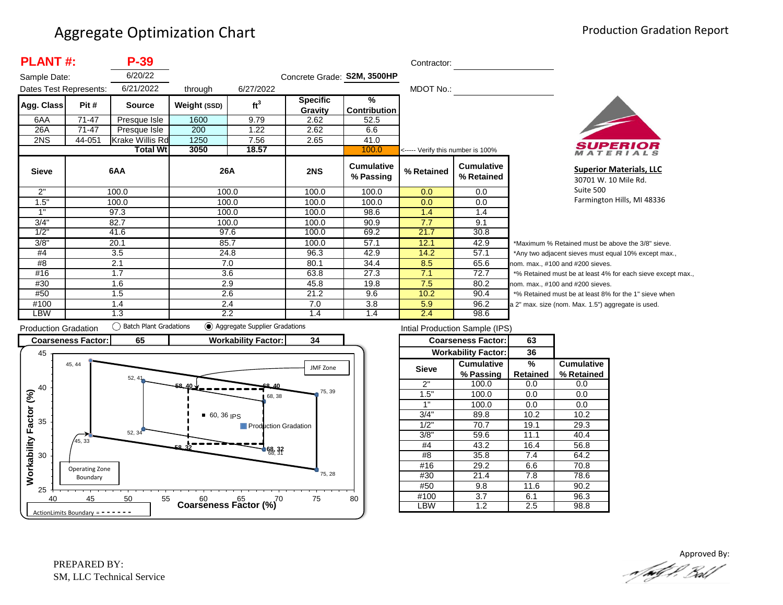| <b>PLANT#:</b><br>$P-39$ |        |                 |              |                 |                             | Contractor:                          |                                   |                                 |        |
|--------------------------|--------|-----------------|--------------|-----------------|-----------------------------|--------------------------------------|-----------------------------------|---------------------------------|--------|
| Sample Date:             |        | 6/20/22         |              |                 | Concrete Grade: S2M, 3500HP |                                      |                                   |                                 |        |
| Dates Test Represents:   |        | 6/21/2022       | through      | 6/27/2022       |                             |                                      | MDOT No.:                         |                                 |        |
| Agg. Class               | Pit #  | <b>Source</b>   | Weight (SSD) | ft <sup>3</sup> | <b>Specific</b><br>Gravity  | $\frac{9}{6}$<br><b>Contribution</b> |                                   |                                 |        |
| 6AA                      | 71-47  | Presque Isle    | 1600         | 9.79            | 2.62                        | 52.5                                 |                                   |                                 |        |
| 26A                      | 71-47  | Presque Isle    | 200          | 1.22            | 2.62                        | 6.6                                  |                                   |                                 |        |
| 2NS                      | 44-051 | Krake Willis Rd | 1250         | 7.56            | 2.65                        | 41.0                                 |                                   |                                 |        |
|                          |        | Total Wtl       | 3050         | 18.57           |                             | 100.0                                | <----- Verify this number is 100% |                                 |        |
| <b>Sieve</b>             |        | 6AA             | 26A          |                 | 2NS                         | <b>Cumulative</b><br>% Passing       | % Retained                        | <b>Cumulative</b><br>% Retained |        |
| 2"                       |        | 100.0           | 100.0        |                 | 100.0                       | 100.0                                | 0.0                               | 0.0                             |        |
| 1.5"                     |        | 100.0           | 100.0        |                 | 100.0                       | 100.0                                | 0.0                               | 0.0                             |        |
| 1"                       |        | 97.3            | 100.0        |                 | 100.0                       | 98.6                                 | 1.4                               | 1.4                             |        |
| 3/4"                     |        | 82.7            | 100.0        |                 | 100.0                       | 90.9                                 | 7.7                               | 9.1                             |        |
| 1/2"                     |        | 41.6            | 97.6         |                 | 100.0                       | 69.2                                 | 21.7                              | 30.8                            |        |
| 3/8"                     |        | 20.1            | 85.7         |                 | 100.0                       | 57.1                                 | 12.1                              | 42.9                            | *Ma    |
| #4                       |        | 3.5             | 24.8         |                 | 96.3                        | 42.9                                 | 14.2                              | 57.1                            | *Any   |
| #8                       |        | 2.1             | 7.0          |                 | 80.1                        | 34.4                                 | 8.5                               | 65.6                            | nom.   |
| #16                      |        | 1.7             | 3.6          |                 | 63.8                        | 27.3                                 | 7.1                               | 72.7                            | $*$ %  |
| #30                      |        | 1.6             | 2.9          |                 | 45.8                        | 19.8                                 | 7.5                               | 80.2                            | nom.   |
| #50                      |        | 1.5             | 2.6          |                 | 21.2                        | 9.6                                  | 10.2                              | 90.4                            | $*$ %  |
| #100                     |        | 1.4             | 2.4          |                 | 7.0                         | 3.8                                  | 5.9                               | 96.2                            | a 2" r |
| LBW                      |        | 1.3             | 2.2          |                 | 1.4                         | 1.4                                  | 2.4                               | 98.6                            |        |



**Superior Materials, LLC** 30701 W. 10 Mile Rd. Suite 500 Farmington Hills, MI 48336

aximum % Retained must be above the 3/8" sieve. y two adjacent sieves must equal 10% except max., . max., #100 and #200 sieves. Retained must be at least 4% for each sieve except max., . max., #100 and #200 sieves. Retained must be at least 8% for the 1" sieve when max. size (nom. Max. 1.5") aggregate is used.



| Intial Production Sample (IPS) |                            |          |                   |  |  |  |  |  |
|--------------------------------|----------------------------|----------|-------------------|--|--|--|--|--|
|                                | <b>Coarseness Factor:</b>  | 63       |                   |  |  |  |  |  |
|                                | <b>Workability Factor:</b> | 36       |                   |  |  |  |  |  |
| <b>Sieve</b>                   | Cumulative                 | %        | <b>Cumulative</b> |  |  |  |  |  |
|                                | % Passing                  | Retained | % Retained        |  |  |  |  |  |
| 2"                             | 100.0                      | 0.0      | 0.0               |  |  |  |  |  |
| 1.5"                           | 100.0                      | 0.0      | 0.0               |  |  |  |  |  |
| 1"                             | 100.0                      | 0.0      | 0.0               |  |  |  |  |  |
| 3/4"                           | 89.8                       | 10.2     | 10.2              |  |  |  |  |  |
| 1/2"                           | 70.7                       | 19.1     | 29.3              |  |  |  |  |  |
| 3/8"                           | 59.6                       | 11.1     | 40.4              |  |  |  |  |  |
| #4                             | 43.2                       | 16.4     | 56.8              |  |  |  |  |  |
| #8                             | 35.8                       | 7.4      | 64.2              |  |  |  |  |  |
| #16                            | 29.2                       | 6.6      | 70.8              |  |  |  |  |  |
| #30                            | 21.4                       | 7.8      | 78.6              |  |  |  |  |  |
| #50                            | 9.8                        | 11.6     | 90.2              |  |  |  |  |  |
| #100                           | 3.7                        | 6.1      | 96.3              |  |  |  |  |  |
| .BW                            | 1.2                        | 2.5      | 98.8              |  |  |  |  |  |

Approved By:<br>Approved By: